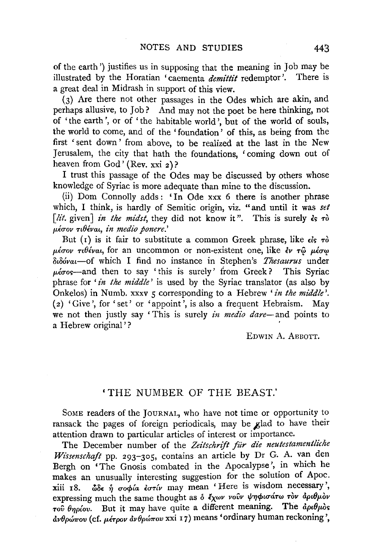of the earth') justifies us in supposing that the meaning in Job may be illustrated by the Horatian 'caementa *demittit* redemptor '. There is a great deal in Midrash in support of this view.

(3) Are there not other passages in the Odes which are akin, and perhaps allusive, to Job? And may not the poet be here thinking, not of 'the earth', or of 'the habitable world', but of the world of souls, the world to come, and of the ' foundation' of this, as being from the first 'sent down' from above, to be realized at the last in the New Jerusalem, the city that hath the foundations, ' coming down out of heaven from God' (Rev. xxi 2)?

I trust this passage of the Odes may be discussed by others whose knowledge of Syriac is more adequate than mine to the discussion.

(ii) Dom Connolly adds : 'In Ode xxx 6 there is another phrase which, I think, is hardly of Semitic origin, viz. "and until it was set *[lit. given] in the midst*, they did not know it". This is surely  $\epsilon_5$   $\tau_0$ p,f.crov nOf.vat, *in medio ponere.'* 

But (r) is it fair to substitute a common Greek phrase, like  $\epsilon \mathbf{k} \cdot \mathbf{r}$  $\mu\acute{\epsilon}\sigma\sigma\nu$   $\tau\iota\theta\acute{\epsilon}\nu\alpha\iota$ , for an uncommon or non-existent one, like  $\dot{\epsilon}\nu\tau\hat{\omega}$   $\mu\acute{\epsilon}\sigma\omega$ oull6vat-of which I find no instance in Stephen's *Thesaurus* under  $\mu\epsilon\sigma$ os—and then to say 'this is surely' from Greek? This Syriac phrase for *'in the middle'* is used by the Syriac translator (as also by Onkelos) in Numb. xxxv *5* corresponding to a Hebrew' *in the middle'.*  ( $2)$  'Give', for 'set' or 'appoint', is also a frequent Hebraism. May we not then justly say 'This is surely *in medio dare-and* points to a Hebrew original'?

EDWIN A. AEBOTT.

## 'THE NUMBER OF THE BEAST.'

SoME readers of the JouRNAL, who have not time or opportunity to ransack the pages of foreign periodicals, may be glad to have their attention drawn to particular articles of interest or importance.

The December number of the Zeitschrift für die neutestamentliche *Wz'ssenschajt* pp. 293-305, contains an article by Dr G. A. van den Bergh on 'The Gnosis combated in the Apocalypse', in which he makes an unusually interesting suggestion for the solution of Apoc. xiii 18.  $\omega \in \hat{\eta}$  oopia  $\epsilon \circ \tau \circ \omega$  may mean 'Here is wisdom necessary', expressing much the same thought as  $\delta$   $\ell_X\omega\nu$  vovv  $\psi\eta\phi$ μσάτω τον αριθμον  $\tau$ ov  $\theta$ ηρίου. But it may have quite a different meaning. The  $\dot{a}$ ρι $\theta\mu\dot{\alpha}$ s  $d\nu\theta\rho\omega\pi\sigma\nu$  (cf.  $\mu\epsilon\tau\rho\sigma\nu\ d\nu\theta\rho\omega\pi\sigma\nu$  xxi 17) means 'ordinary human reckoning'.